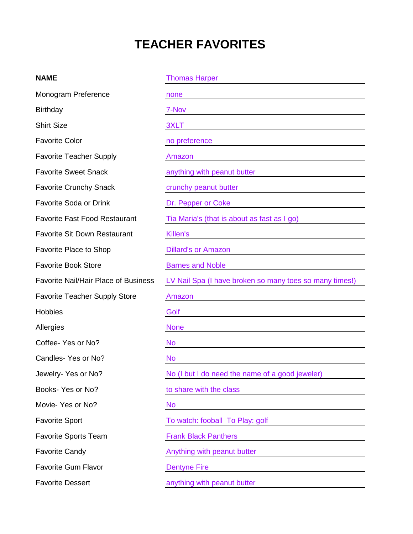## **TEACHER FAVORITES**

## **NAME** Thomas Harper Thomas Harper

| Monogram Preference                         | none                                                    |
|---------------------------------------------|---------------------------------------------------------|
| <b>Birthday</b>                             | 7-Nov                                                   |
| <b>Shirt Size</b>                           | 3XLT                                                    |
| <b>Favorite Color</b>                       | no preference                                           |
| <b>Favorite Teacher Supply</b>              | Amazon                                                  |
| <b>Favorite Sweet Snack</b>                 | anything with peanut butter                             |
| <b>Favorite Crunchy Snack</b>               | crunchy peanut butter                                   |
| <b>Favorite Soda or Drink</b>               | Dr. Pepper or Coke                                      |
| <b>Favorite Fast Food Restaurant</b>        | Tia Maria's (that is about as fast as I go)             |
| <b>Favorite Sit Down Restaurant</b>         | Killen's                                                |
| <b>Favorite Place to Shop</b>               | <b>Dillard's or Amazon</b>                              |
| <b>Favorite Book Store</b>                  | <b>Barnes and Noble</b>                                 |
| <b>Favorite Nail/Hair Place of Business</b> | LV Nail Spa (I have broken so many toes so many times!) |
| <b>Favorite Teacher Supply Store</b>        | Amazon                                                  |
| <b>Hobbies</b>                              | Golf                                                    |
| Allergies                                   | <b>None</b>                                             |
| Coffee- Yes or No?                          | <b>No</b>                                               |
| Candles-Yes or No?                          | <b>No</b>                                               |
| Jewelry-Yes or No?                          | No (I but I do need the name of a good jeweler)         |
| Books- Yes or No?                           | to share with the class                                 |
| Movie- Yes or No?                           | <b>No</b>                                               |
| <b>Favorite Sport</b>                       | To watch: fooball To Play: golf                         |
| <b>Favorite Sports Team</b>                 | <b>Frank Black Panthers</b>                             |
| <b>Favorite Candy</b>                       | Anything with peanut butter                             |
| <b>Favorite Gum Flavor</b>                  | <b>Dentyne Fire</b>                                     |
| <b>Favorite Dessert</b>                     | anything with peanut butter                             |